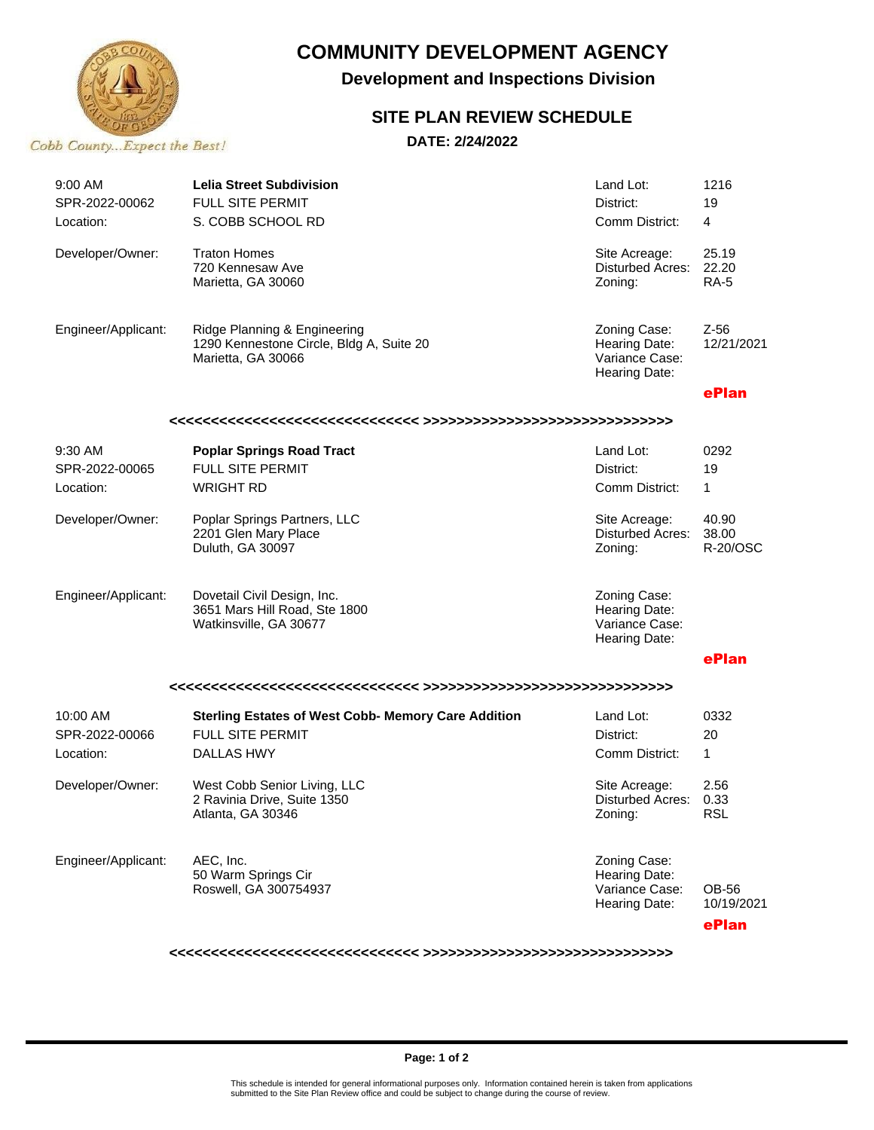

# **COMMUNITY DEVELOPMENT AGENCY**

 **Development and Inspections Division**

### **SITE PLAN REVIEW SCHEDULE**

**DATE: 2/24/2022**

| $9:00$ AM<br>SPR-2022-00062<br>Location: | <b>Lelia Street Subdivision</b><br>FULL SITE PERMIT<br>S. COBB SCHOOL RD                                   | Land Lot:<br>District:<br>Comm District:                         | 1216<br>19<br>$\overline{4}$  |
|------------------------------------------|------------------------------------------------------------------------------------------------------------|------------------------------------------------------------------|-------------------------------|
| Developer/Owner:                         | <b>Traton Homes</b><br>720 Kennesaw Ave<br>Marietta, GA 30060                                              | Site Acreage:<br><b>Disturbed Acres:</b><br>Zoning:              | 25.19<br>22.20<br><b>RA-5</b> |
| Engineer/Applicant:                      | Ridge Planning & Engineering<br>1290 Kennestone Circle, Bldg A, Suite 20<br>Marietta, GA 30066             | Zoning Case:<br>Hearing Date:<br>Variance Case:<br>Hearing Date: | $Z-56$<br>12/21/2021          |
|                                          |                                                                                                            |                                                                  | ePlan                         |
|                                          |                                                                                                            |                                                                  |                               |
| 9:30 AM                                  | <b>Poplar Springs Road Tract</b>                                                                           | Land Lot:                                                        | 0292                          |
| SPR-2022-00065                           | <b>FULL SITE PERMIT</b>                                                                                    | District:                                                        | 19                            |
| Location:                                | <b>WRIGHT RD</b>                                                                                           | Comm District:                                                   | 1                             |
| Developer/Owner:                         | Poplar Springs Partners, LLC<br>2201 Glen Mary Place<br>Duluth, GA 30097                                   | Site Acreage:<br>Disturbed Acres:<br>Zoning:                     | 40.90<br>38.00<br>R-20/OSC    |
| Engineer/Applicant:                      | Dovetail Civil Design, Inc.<br>3651 Mars Hill Road, Ste 1800<br>Watkinsville, GA 30677                     | Zoning Case:<br>Hearing Date:<br>Variance Case:<br>Hearing Date: |                               |
|                                          |                                                                                                            |                                                                  | ePlan                         |
|                                          |                                                                                                            |                                                                  |                               |
| 10:00 AM<br>SPR-2022-00066<br>Location:  | <b>Sterling Estates of West Cobb- Memory Care Addition</b><br><b>FULL SITE PERMIT</b><br><b>DALLAS HWY</b> | Land Lot:<br>District:<br>Comm District:                         | 0332<br>20<br>$\mathbf{1}$    |
| Developer/Owner:                         | West Cobb Senior Living, LLC<br>2 Ravinia Drive, Suite 1350<br>Atlanta, GA 30346                           | Site Acreage:<br>Disturbed Acres:<br>Zoning:                     | 2.56<br>0.33<br>RSL           |
| Engineer/Applicant:                      | AEC, Inc.<br>50 Warm Springs Cir<br>Roswell, GA 300754937                                                  | Zoning Case:<br>Hearing Date:<br>Variance Case:<br>Hearing Date: | OB-56<br>10/19/2021           |
|                                          |                                                                                                            |                                                                  | ePlan                         |

**<<<<<<<<<<<<<<<<<<<<<<<<<<<<<< >>>>>>>>>>>>>>>>>>>>>>>>>>>>>>**